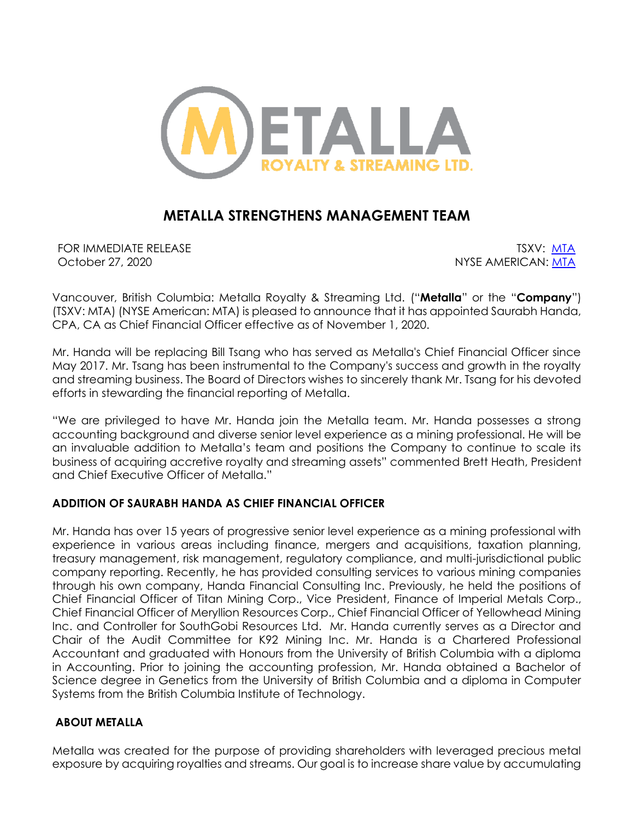

# **METALLA STRENGTHENS MANAGEMENT TEAM**

FOR IMMEDIATE RELEASE TO A SECOND TO A SECOND TO A SECOND TO A SECOND TO A SECOND TO A SECOND TO A SECOND TO A SECOND TO A SECOND TO A SECOND TO A SECOND TO A SECOND TO A SECOND TO A SECOND TO A SECOND TO A SECOND TO A SEC October 27, 2020 and the state of the state of the NYSE AMERICAN: [MTA](https://www.nyse.com/quote/XASE:MTA)

Vancouver, British Columbia: Metalla Royalty & Streaming Ltd. ("**Metalla**" or the "**Company**") (TSXV: MTA) (NYSE American: MTA) is pleased to announce that it has appointed Saurabh Handa, CPA, CA as Chief Financial Officer effective as of November 1, 2020.

Mr. Handa will be replacing Bill Tsang who has served as Metalla's Chief Financial Officer since May 2017. Mr. Tsang has been instrumental to the Company's success and growth in the royalty and streaming business. The Board of Directors wishes to sincerely thank Mr. Tsang for his devoted efforts in stewarding the financial reporting of Metalla.

"We are privileged to have Mr. Handa join the Metalla team. Mr. Handa possesses a strong accounting background and diverse senior level experience as a mining professional. He will be an invaluable addition to Metalla's team and positions the Company to continue to scale its business of acquiring accretive royalty and streaming assets" commented Brett Heath, President and Chief Executive Officer of Metalla."

## **ADDITION OF SAURABH HANDA AS CHIEF FINANCIAL OFFICER**

Mr. Handa has over 15 years of progressive senior level experience as a mining professional with experience in various areas including finance, mergers and acquisitions, taxation planning, treasury management, risk management, regulatory compliance, and multi-jurisdictional public company reporting. Recently, he has provided consulting services to various mining companies through his own company, Handa Financial Consulting Inc. Previously, he held the positions of Chief Financial Officer of Titan Mining Corp., Vice President, Finance of Imperial Metals Corp., Chief Financial Officer of Meryllion Resources Corp., Chief Financial Officer of Yellowhead Mining Inc. and Controller for SouthGobi Resources Ltd. Mr. Handa currently serves as a Director and Chair of the Audit Committee for K92 Mining Inc. Mr. Handa is a Chartered Professional Accountant and graduated with Honours from the University of British Columbia with a diploma in Accounting. Prior to joining the accounting profession, Mr. Handa obtained a Bachelor of Science degree in Genetics from the University of British Columbia and a diploma in Computer Systems from the British Columbia Institute of Technology.

## **ABOUT METALLA**

Metalla was created for the purpose of providing shareholders with leveraged precious metal exposure by acquiring royalties and streams. Our goal is to increase share value by accumulating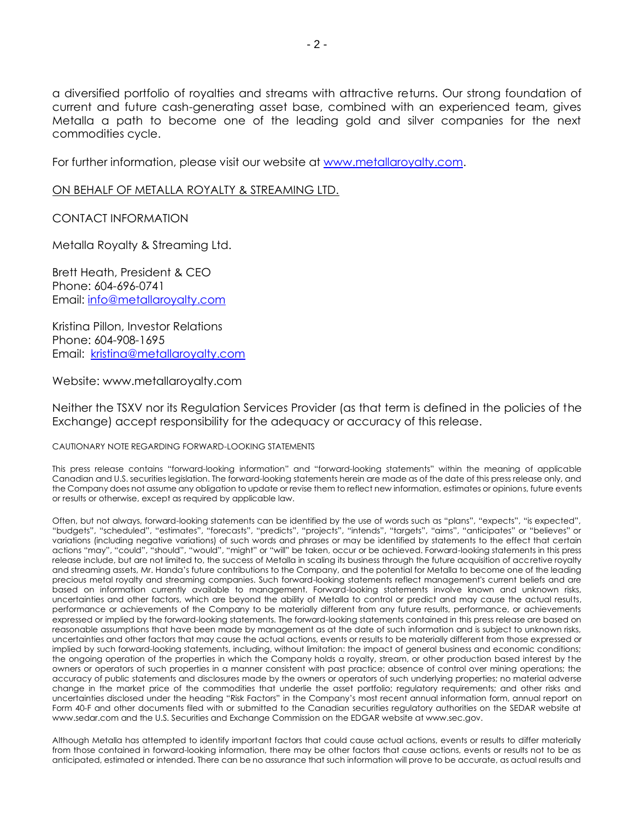a diversified portfolio of royalties and streams with attractive returns. Our strong foundation of current and future cash-generating asset base, combined with an experienced team, gives Metalla a path to become one of the leading gold and silver companies for the next commodities cycle.

For further information, please visit our website at [www.metallaroyalty.com.](http://www.metallaroyalty.com/)

#### ON BEHALF OF METALLA ROYALTY & STREAMING LTD.

CONTACT INFORMATION

Metalla Royalty & Streaming Ltd.

Brett Heath, President & CEO Phone: [604-696-0741](tel:604-696-0741) Email: [info@metallaroyalty.com](mailto:info@metallaroyalty.com)

Kristina Pillon, Investor Relations Phone: 604-908-1695 Email: [kristina@metallaroyalty.com](mailto:kristina@metallaroyalty.com)

Website: [www.metallaroyalty.com](http://www.metallaroyalty.com/)

Neither the TSXV nor its Regulation Services Provider (as that term is defined in the policies of the Exchange) accept responsibility for the adequacy or accuracy of this release.

#### CAUTIONARY NOTE REGARDING FORWARD-LOOKING STATEMENTS

This press release contains "forward-looking information" and "forward-looking statements" within the meaning of applicable Canadian and U.S. securities legislation. The forward-looking statements herein are made as of the date of this press release only, and the Company does not assume any obligation to update or revise them to reflect new information, estimates or opinions, future events or results or otherwise, except as required by applicable law.

Often, but not always, forward-looking statements can be identified by the use of words such as "plans", "expects", "is expected", "budgets", "scheduled", "estimates", "forecasts", "predicts", "projects", "intends", "targets", "aims", "anticipates" or "believes" or variations (including negative variations) of such words and phrases or may be identified by statements to the effect that certain actions "may", "could", "should", "would", "might" or "will" be taken, occur or be achieved. Forward-looking statements in this press release include, but are not limited to, the success of Metalla in scaling its business through the future acquisition of accretive royalty and streaming assets, Mr. Handa's future contributions to the Company, and the potential for Metalla to become one of the leading precious metal royalty and streaming companies. Such forward-looking statements reflect management's current beliefs and are based on information currently available to management. Forward-looking statements involve known and unknown risks, uncertainties and other factors, which are beyond the ability of Metalla to control or predict and may cause the actual results, performance or achievements of the Company to be materially different from any future results, performance, or achievements expressed or implied by the forward-looking statements. The forward-looking statements contained in this press release are based on reasonable assumptions that have been made by management as at the date of such information and is subject to unknown risks, uncertainties and other factors that may cause the actual actions, events or results to be materially different from those expressed or implied by such forward-looking statements, including, without limitation: the impact of general business and economic conditions; the ongoing operation of the properties in which the Company holds a royalty, stream, or other production based interest by the owners or operators of such properties in a manner consistent with past practice; absence of control over mining operations; the accuracy of public statements and disclosures made by the owners or operators of such underlying properties; no material adverse change in the market price of the commodities that underlie the asset portfolio; regulatory requirements; and other risks and uncertainties disclosed under the heading "Risk Factors" in the Company's most recent annual information form, annual report on Form 40-F and other documents filed with or submitted to the Canadian securities regulatory authorities on the SEDAR website at www.sedar.com and the U.S. Securities and Exchange Commission on the EDGAR website at www.sec.gov.

Although Metalla has attempted to identify important factors that could cause actual actions, events or results to differ materially from those contained in forward-looking information, there may be other factors that cause actions, events or results not to be as anticipated, estimated or intended. There can be no assurance that such information will prove to be accurate, as actual results and